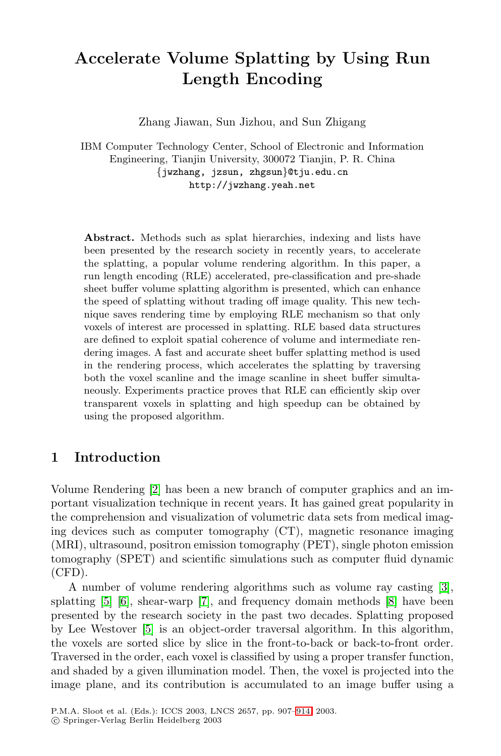# **Accelerate Volume Splatting by Using Run Length Encoding**

Zhang Jiawan, Sun Jizhou, and Sun Zhigang

IBM Computer Technology Center, School of Electronic and Information Engineering, Tianjin University, 300072 Tianjin, P. R. China {jwzhang, jzsun, zhgsun}@tju.edu.cn http://jwzhang.yeah.net

**Abstract.** Methods such as splat hierarchies, indexing and lists have been presented by the research society in recently years, to accelerate the splatting, a popular volume rendering algorithm. In this paper, a run length encoding (RLE) accelerated, pre-classification and pre-shade sheet buffer volume splatting algorithm is presented, which can enhance the speed of splatting without trading off image quality. This new technique saves rendering time by employing RLE mechanism so that only voxels of interest are processed in splatting. RLE based data structures are defined to exploit spatial coherence of volume and intermediate rendering images. A fast and accurate sheet buffer splatting method is used in the rendering process, which accelerates the splatting by traversing both the voxel scanline and the image scanline in sheet buffer simultaneously. Experiments practice proves that RLE can efficiently skip over transparent voxels in splatting and high speedup can be obtained by using the proposed algorithm.

## **1 In[tro](#page-7-0)duction**

Volume Rendering [2] has been a new branch of computer graphics and an important visualization technique in recent years. It has gained great popularity in the comprehension and visualization of volumetric data sets from medical imaging devices such as computer tomography (CT), magnetic resonance imaging (MRI), ultrasound, positron emission tomography (PET), single photon emission tomography (SPET) and scientific simulations such as computer fluid dynamic (CFD).

A number of volume rendering algorithms such as volume ray casting [3], splatting [5] [6], shear-warp [7], and frequency domain methods [8] have been presented by the research society in the past two decades. Splatting proposed by Lee Westover [5] is an object-order traversal algorithm. In this algorithm, the voxels are sorted slice by slice in the front-to-back or back-to-front order. Traversed in the order, each voxel is classified by using a proper transfer function, and shaded by a given illumination model. Then, the voxel is projected into the image plane, and its contribution is accumulated to an image buffer using a

P.M.A. Sloot et al. (Eds.): ICCS 2003, LNCS 2657, pp. 907–914, 2003. c Springer-Verlag Berlin Heidelberg 2003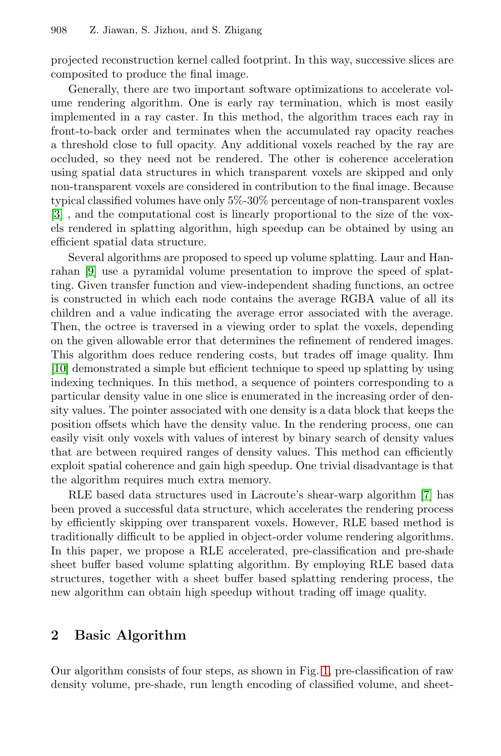projected reconstruction kernel called footprint. In this way, successive slices are composited to produce the final image.

Generally, there are two important software optimizations to accelerate volume rendering algorithm. One is early ray termination, which is most easily implemented in a ray caster. In this method, the algorithm traces each ray in front-to-back order and terminates when the accumulated ray opacity reaches a threshold close to full opacity. Any additional voxels reached by the ray are occluded, so they need not be rendered. The other is coherence acceleration using spatial data structures in which transparent voxels are skipped and only non-transparent voxels are considered in contribution to the final image. Because typical classified volumes have only 5%-30% percentage of non-transparent voxles [\[3\]](#page-7-0) , and the computational cost is linearly proportional to the size of the voxels rendered in splatting algorithm, high speedup can be obtained by using an efficient spatial data structure.

Several algorithms are proposed to speed up volume splatting. Laur and Hanrahan [\[9\]](#page-7-0) use a pyramidal volume presentation to improve the speed of splatting. Given transfer function and view-independent shading functions, an octree is constructed in which each node contains the average RGBA value of all its children and a value indicating the average error associated with the average. Then, the octree is traversed in a viewing order to splat the voxels, depending on the given allowable error that determines the refinement of rendered images. This algorithm does reduce rendering costs, but trades off image quality. Ihm [\[10\]](#page-7-0) demonstrated a simple but efficient technique to speed up splatting by using indexing techniques. In this method, a sequence of pointers corresponding to a particular density value in one slice is enumerated in the increasing order of density values. The pointer associated with one density is a data block that keeps the position offsets which have the density value. In the rendering process, one can easily visit only voxels with values of interest by binary search of density values that are between required ranges of density values. This method can efficiently exploit spatial coherence and gain high speedup. One trivial disadvantage is that the algorithm requires much extra memory.

RLE based data structures used in Lacroute's shear-warp algorithm [\[7\]](#page-7-0) has been proved a successful data structure, which accelerates the rendering process by efficiently skipping over transparent voxels. However, RLE based method is traditionally difficult to be applied in object-order volume rendering algorithms. In this paper, we propose a RLE accelerated, pre-classification and pre-shade sheet buffer based volume splatting algorithm. By employing RLE based data structures, together with a sheet buffer based splatting rendering process, the new algorithm can obtain high speedup without trading off image quality.

## **2 Basic Algorithm**

Our algorithm consists of four steps, as shown in Fig. [1,](#page-2-0) pre-classification of raw density volume, pre-shade, run length encoding of classified volume, and sheet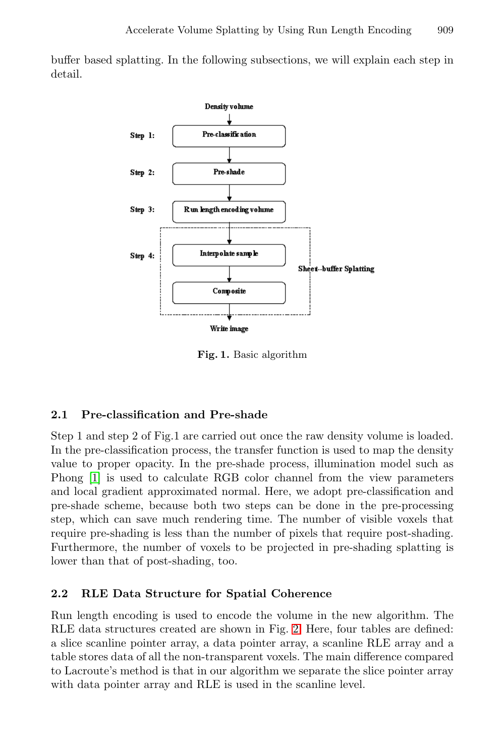<span id="page-2-0"></span>buffer based splatting. In the following subsections, we will explain each step in detail.



**Fig. 1.** Basic algorithm

## **2.1 Pre-classification and Pre-shade**

Step 1 and step 2 of Fig.1 are carried out once the raw density volume is loaded. In the pre-classification process, the transfer function is used to map the density value to proper opacity. In the pre-shade process, illumination model such as Phong [\[1\]](#page-7-0) is used to calculate RGB color channel from the view parameters and local gradient approximated normal. Here, we adopt pre-classification and pre-shade scheme, because both two steps can be done in the pre-processing step, which can save much rendering time. The number of visible voxels that require pre-shading is less than the number of pixels that require post-shading. Furthermore, the number of voxels to be projected in pre-shading splatting is lower than that of post-shading, too.

### **2.2 RLE Data Structure for Spatial Coherence**

Run length encoding is used to encode the volume in the new algorithm. The RLE data structures created are shown in Fig. [2.](#page-3-0) Here, four tables are defined: a slice scanline pointer array, a data pointer array, a scanline RLE array and a table stores data of all the non-transparent voxels. The main difference compared to Lacroute's method is that in our algorithm we separate the slice pointer array with data pointer array and RLE is used in the scanline level.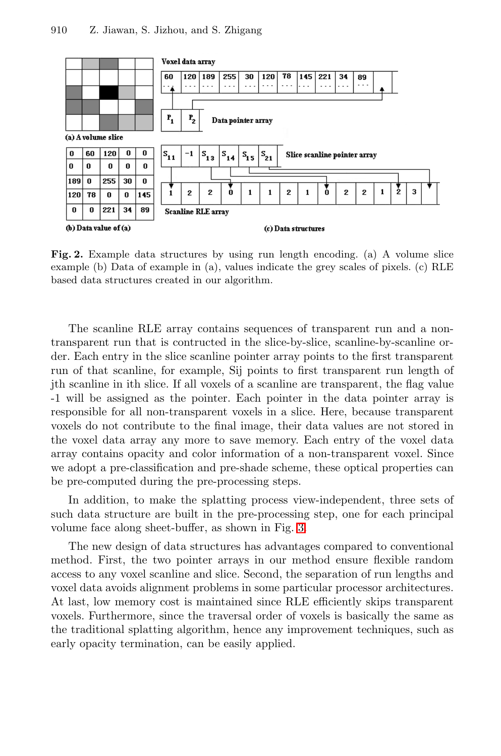<span id="page-3-0"></span>

**Fig. 2.** Example data structures by using run length encoding. (a) A volume slice example (b) Data of example in (a), values indicate the grey scales of pixels. (c) RLE based data structures created in our algorithm.

The scanline RLE array contains sequences of transparent run and a nontransparent run that is contructed in the slice-by-slice, scanline-by-scanline order. Each entry in the slice scanline pointer array points to the first transparent run of that scanline, for example, Sij points to first transparent run length of jth scanline in ith slice. If all voxels of a scanline are transparent, the flag value -1 will be assigned as the pointer. Each pointer in the data pointer array is responsible for all non-transparent voxels in a slice. Here, because transparent voxels do not contribute to the final image, their data values are not stored in the voxel data array any more to save memory. Each entry of the voxel data array contains opacity and color information of a non-transparent voxel. Since we adopt a pre-classification and pre-shade scheme, these optical properties can be pre-computed during the pre-processing steps.

In addition, to make the splatting process view-independent, three sets of such data structure are built in the pre-processing step, one for each principal volume face along sheet-buffer, as shown in Fig. [3.](#page-4-0)

The new design of data structures has advantages compared to conventional method. First, the two pointer arrays in our method ensure flexible random access to any voxel scanline and slice. Second, the separation of run lengths and voxel data avoids alignment problems in some particular processor architectures. At last, low memory cost is maintained since RLE efficiently skips transparent voxels. Furthermore, since the traversal order of voxels is basically the same as the traditional splatting algorithm, hence any improvement techniques, such as early opacity termination, can be easily applied.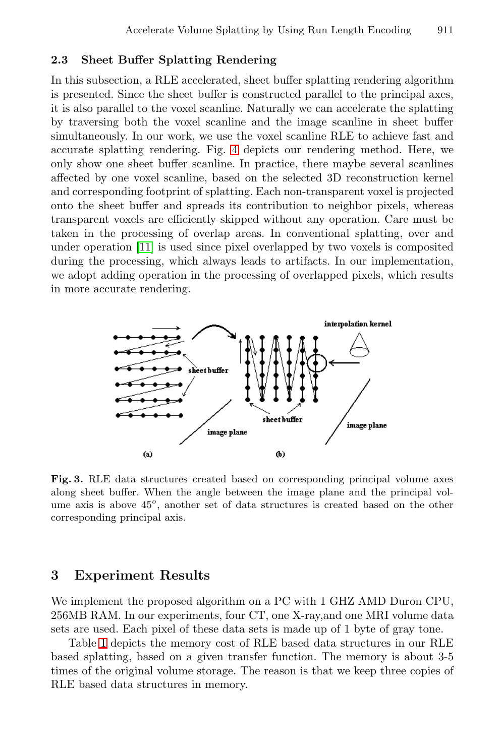#### <span id="page-4-0"></span>**2.3 Sheet Buffer Splatting Rendering**

In this subsection, a RLE accelerated, sheet buffer splatting rendering algorithm is presented. Since the sheet buffer is constructed parallel to the principal axes, it is also parallel to the voxel scanline. Naturally we can accelerate the splatting by traversing both the voxel scanline and the image scanline in sheet buffer simultaneously. In our work, we use the voxel scanline RLE to achieve fast and accurate splatting rendering. Fig. [4](#page-5-0) depicts our rendering method. Here, we only show one sheet buffer scanline. In practice, there maybe several scanlines affected by one voxel scanline, based on the selected 3D reconstruction kernel and corresponding footprint of splatting. Each non-transparent voxel is projected onto the sheet buffer and spreads its contribution to neighbor pixels, whereas transparent voxels are efficiently skipped without any operation. Care must be taken in the processing of overlap areas. In conventional splatting, over and under operation [\[11\]](#page-7-0) is used since pixel overlapped by two voxels is composited during the processing, which always leads to artifacts. In our implementation, we adopt adding operation in the processing of overlapped pixels, which results in more accurate rendering.



**Fig. 3.** RLE data structures created based on corresponding principal volume axes along sheet buffer. When the angle between the image plane and the principal volume axis is above  $45^{\circ}$ , another set of data structures is created based on the other corresponding principal axis.

### **3 Experiment Results**

We implement the proposed algorithm on a PC with 1 GHZ AMD Duron CPU, 256MB RAM. In our experiments, four CT, one X-ray,and one MRI volume data sets are used. Each pixel of these data sets is made up of 1 byte of gray tone.

Table [1](#page-5-0) depicts the memory cost of RLE based data structures in our RLE based splatting, based on a given transfer function. The memory is about 3-5 times of the original volume storage. The reason is that we keep three copies of RLE based data structures in memory.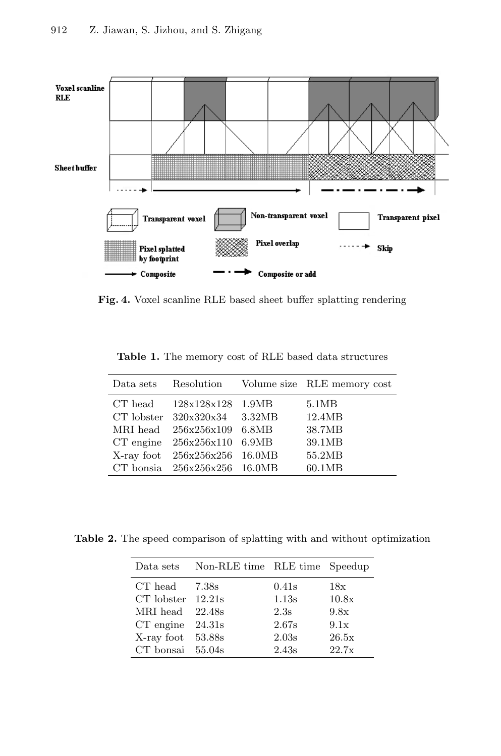<span id="page-5-0"></span>

**Fig. 4.** Voxel scanline RLE based sheet buffer splatting rendering

**Table 1.** The memory cost of RLE based data structures

| Data sets  | Resolution                     |        | Volume size RLE memory cost |
|------------|--------------------------------|--------|-----------------------------|
| CT head    | 128x128x128 1.9MB              |        | 5.1MB                       |
|            | CT lobster $320x320x34$        | 3.32MB | 12.4MB                      |
| MRI head   | 256x256x109                    | 6.8MB  | 38.7MB                      |
| CT engine  | 256x256x110                    | 6.9MB  | 39.1MB                      |
| X-ray foot | 256x256x256                    | 16.0MB | 55.2MB                      |
|            | CT bonsia $256x256x256$ 16.0MB |        | 60.1MB                      |

**Table 2.** The speed comparison of splatting with and without optimization

|                       | Data sets Non-RLE time RLE time Speedup |       |       |
|-----------------------|-----------------------------------------|-------|-------|
| $CT$ head $7.38s$     |                                         | 0.41s | 18x   |
| $CT$ lobster $12.21s$ |                                         | 1.13s | 10.8x |
| MRI head 22.48s       |                                         | 2.3s  | 9.8x  |
| $CT$ engine $24.31s$  |                                         | 2.67s | 9.1x  |
| X-ray foot 53.88s     |                                         | 2.03s | 26.5x |
| $CT$ bonsai $55.04s$  |                                         | 2.43s | 22.7x |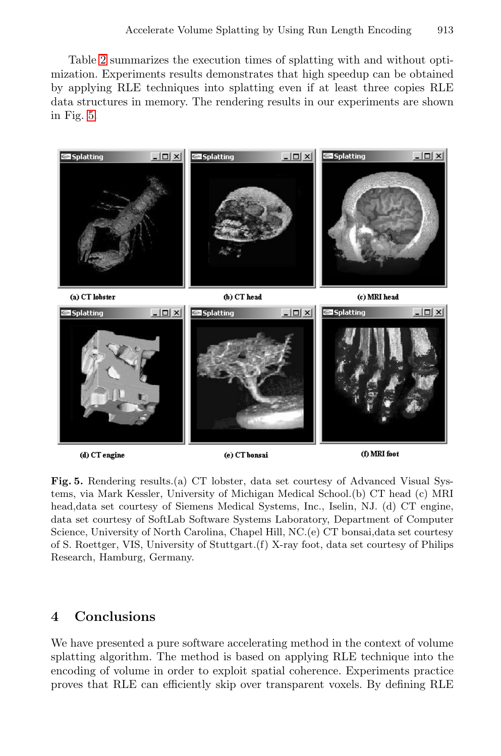Table [2](#page-5-0) summarizes the execution times of splatting with and without optimization. Experiments results demonstrates that high speedup can be obtained by applying RLE techniques into splatting even if at least three copies RLE data structures in memory. The rendering results in our experiments are shown in Fig. 5.



**Fig. 5.** Rendering results.(a) CT lobster, data set courtesy of Advanced Visual Systems, via Mark Kessler, University of Michigan Medical School.(b) CT head (c) MRI head,data set courtesy of Siemens Medical Systems, Inc., Iselin, NJ. (d) CT engine, data set courtesy of SoftLab Software Systems Laboratory, Department of Computer Science, University of North Carolina, Chapel Hill, NC.(e) CT bonsai,data set courtesy of S. Roettger, VIS, University of Stuttgart.(f) X-ray foot, data set courtesy of Philips Research, Hamburg, Germany.

## **4 Conclusions**

We have presented a pure software accelerating method in the context of volume splatting algorithm. The method is based on applying RLE technique into the encoding of volume in order to exploit spatial coherence. Experiments practice proves that RLE can efficiently skip over transparent voxels. By defining RLE